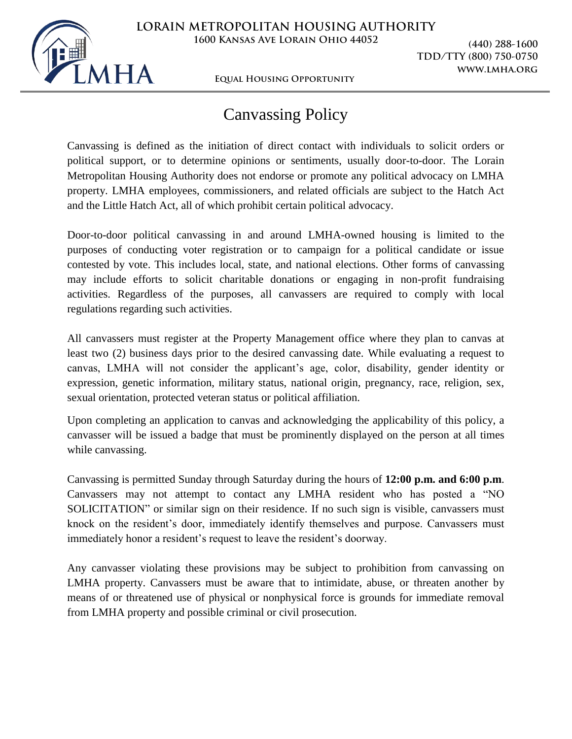

**Equal Housing Opportunity**

**TDD/TTY (800) 750-0750 www.lmha.org**

## Canvassing Policy

Canvassing is defined as the initiation of direct contact with individuals to solicit orders or political support, or to determine opinions or sentiments, usually door-to-door. The Lorain Metropolitan Housing Authority does not endorse or promote any political advocacy on LMHA property. LMHA employees, commissioners, and related officials are subject to the Hatch Act and the Little Hatch Act, all of which prohibit certain political advocacy.

Door-to-door political canvassing in and around LMHA-owned housing is limited to the purposes of conducting voter registration or to campaign for a political candidate or issue contested by vote. This includes local, state, and national elections. Other forms of canvassing may include efforts to solicit charitable donations or engaging in non-profit fundraising activities. Regardless of the purposes, all canvassers are required to comply with local regulations regarding such activities.

All canvassers must register at the Property Management office where they plan to canvas at least two (2) business days prior to the desired canvassing date. While evaluating a request to canvas, LMHA will not consider the applicant's age, color, disability, gender identity or expression, genetic information, military status, national origin, pregnancy, race, religion, sex, sexual orientation, protected veteran status or political affiliation.

Upon completing an application to canvas and acknowledging the applicability of this policy, a canvasser will be issued a badge that must be prominently displayed on the person at all times while canvassing.

Canvassing is permitted Sunday through Saturday during the hours of **12:00 p.m. and 6:00 p.m**. Canvassers may not attempt to contact any LMHA resident who has posted a "NO SOLICITATION" or similar sign on their residence. If no such sign is visible, canvassers must knock on the resident's door, immediately identify themselves and purpose. Canvassers must immediately honor a resident's request to leave the resident's doorway.

Any canvasser violating these provisions may be subject to prohibition from canvassing on LMHA property. Canvassers must be aware that to intimidate, abuse, or threaten another by means of or threatened use of physical or nonphysical force is grounds for immediate removal from LMHA property and possible criminal or civil prosecution.